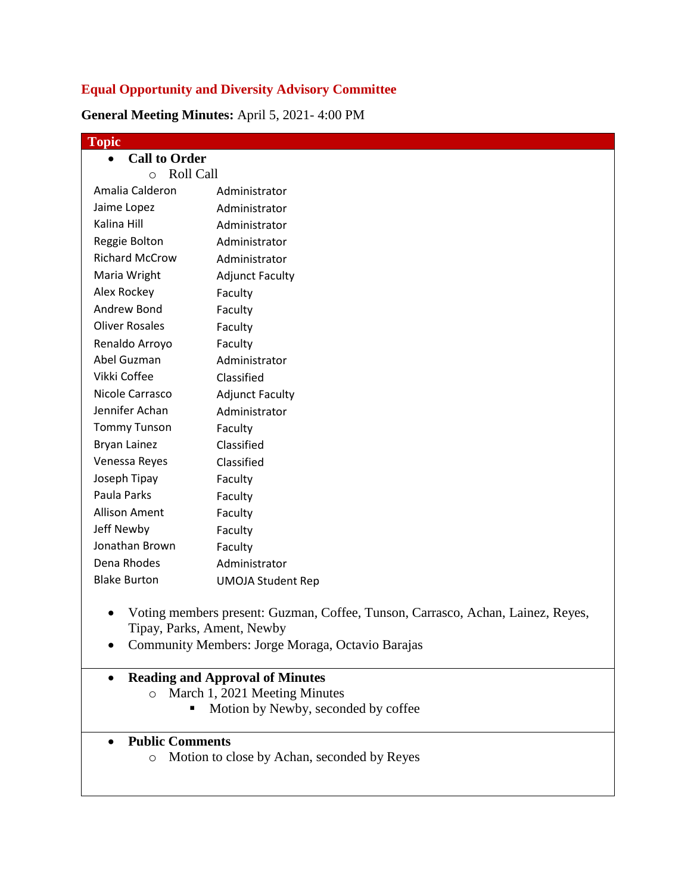## **Equal Opportunity and Diversity Advisory Committee**

**General Meeting Minutes:** April 5, 2021- 4:00 PM

| <b>Topic</b>                      |                          |  |  |  |
|-----------------------------------|--------------------------|--|--|--|
| <b>Call to Order</b><br>$\bullet$ |                          |  |  |  |
| <b>Roll Call</b><br>$\circ$       |                          |  |  |  |
| Amalia Calderon                   | Administrator            |  |  |  |
| Jaime Lopez                       | Administrator            |  |  |  |
| Kalina Hill                       | Administrator            |  |  |  |
| Reggie Bolton                     | Administrator            |  |  |  |
| <b>Richard McCrow</b>             | Administrator            |  |  |  |
| Maria Wright                      | <b>Adjunct Faculty</b>   |  |  |  |
| Alex Rockey                       | Faculty                  |  |  |  |
| Andrew Bond                       | Faculty                  |  |  |  |
| <b>Oliver Rosales</b>             | Faculty                  |  |  |  |
| Renaldo Arroyo                    | Faculty                  |  |  |  |
| Abel Guzman                       | Administrator            |  |  |  |
| Vikki Coffee                      | Classified               |  |  |  |
| Nicole Carrasco                   | <b>Adjunct Faculty</b>   |  |  |  |
| Jennifer Achan                    | Administrator            |  |  |  |
| <b>Tommy Tunson</b>               | Faculty                  |  |  |  |
| Bryan Lainez                      | Classified               |  |  |  |
| Venessa Reyes                     | Classified               |  |  |  |
| Joseph Tipay                      | Faculty                  |  |  |  |
| Paula Parks                       | Faculty                  |  |  |  |
| <b>Allison Ament</b>              | Faculty                  |  |  |  |
| Jeff Newby                        | Faculty                  |  |  |  |
| Jonathan Brown                    | Faculty                  |  |  |  |
| Dena Rhodes                       | Administrator            |  |  |  |
| <b>Blake Burton</b>               | <b>UMOJA Student Rep</b> |  |  |  |
|                                   |                          |  |  |  |

- Voting members present: Guzman, Coffee, Tunson, Carrasco, Achan, Lainez, Reyes, Tipay, Parks, Ament, Newby
- Community Members: Jorge Moraga, Octavio Barajas

## **Reading and Approval of Minutes**

- o March 1, 2021 Meeting Minutes
	- Motion by Newby, seconded by coffee

## **Public Comments**

o Motion to close by Achan, seconded by Reyes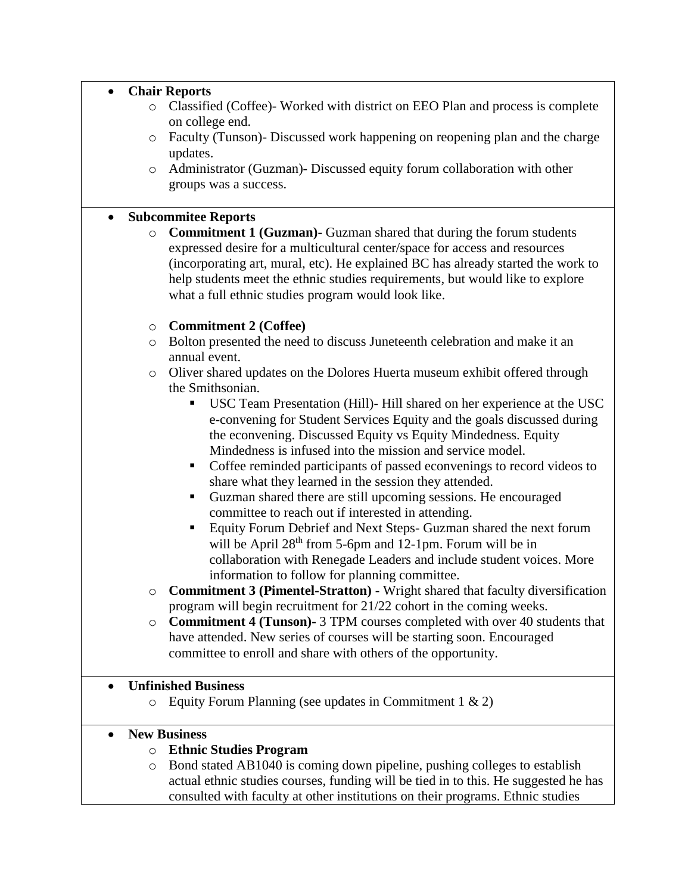|                     | <b>Chair Reports</b> |                                                                                     |  |
|---------------------|----------------------|-------------------------------------------------------------------------------------|--|
|                     | $\circ$              | Classified (Coffee)- Worked with district on EEO Plan and process is complete       |  |
|                     |                      | on college end.                                                                     |  |
|                     | $\circ$              | Faculty (Tunson)- Discussed work happening on reopening plan and the charge         |  |
|                     |                      | updates.                                                                            |  |
|                     |                      | Administrator (Guzman)- Discussed equity forum collaboration with other             |  |
|                     | $\circ$              |                                                                                     |  |
|                     |                      | groups was a success.                                                               |  |
|                     |                      |                                                                                     |  |
|                     |                      | <b>Subcommitee Reports</b>                                                          |  |
|                     | $\circ$              | <b>Commitment 1 (Guzman)</b> Guzman shared that during the forum students           |  |
|                     |                      | expressed desire for a multicultural center/space for access and resources          |  |
|                     |                      | (incorporating art, mural, etc). He explained BC has already started the work to    |  |
|                     |                      | help students meet the ethnic studies requirements, but would like to explore       |  |
|                     |                      | what a full ethnic studies program would look like.                                 |  |
|                     |                      |                                                                                     |  |
|                     | $\circ$              | <b>Commitment 2 (Coffee)</b>                                                        |  |
|                     | $\circ$              | Bolton presented the need to discuss Juneteenth celebration and make it an          |  |
|                     |                      | annual event.                                                                       |  |
|                     |                      |                                                                                     |  |
|                     | $\circ$              | Oliver shared updates on the Dolores Huerta museum exhibit offered through          |  |
|                     |                      | the Smithsonian.                                                                    |  |
|                     |                      | USC Team Presentation (Hill)- Hill shared on her experience at the USC<br>Ξ         |  |
|                     |                      | e-convening for Student Services Equity and the goals discussed during              |  |
|                     |                      | the econvening. Discussed Equity vs Equity Mindedness. Equity                       |  |
|                     |                      | Mindedness is infused into the mission and service model.                           |  |
|                     |                      | Coffee reminded participants of passed econvenings to record videos to<br>п         |  |
|                     |                      | share what they learned in the session they attended.                               |  |
|                     |                      | Guzman shared there are still upcoming sessions. He encouraged<br>п                 |  |
|                     |                      | committee to reach out if interested in attending.                                  |  |
|                     |                      | ٠                                                                                   |  |
|                     |                      | Equity Forum Debrief and Next Steps- Guzman shared the next forum                   |  |
|                     |                      | will be April $28th$ from 5-6pm and 12-1pm. Forum will be in                        |  |
|                     |                      | collaboration with Renegade Leaders and include student voices. More                |  |
|                     |                      | information to follow for planning committee.                                       |  |
|                     | O                    | Commitment 3 (Pimentel-Stratton) - Wright shared that faculty diversification       |  |
|                     |                      | program will begin recruitment for 21/22 cohort in the coming weeks.                |  |
|                     | O                    | <b>Commitment 4 (Tunson)-</b> 3 TPM courses completed with over 40 students that    |  |
|                     |                      | have attended. New series of courses will be starting soon. Encouraged              |  |
|                     |                      | committee to enroll and share with others of the opportunity.                       |  |
|                     |                      |                                                                                     |  |
|                     |                      | <b>Unfinished Business</b>                                                          |  |
|                     |                      |                                                                                     |  |
|                     | $\circ$              | Equity Forum Planning (see updates in Commitment $1 \& 2$ )                         |  |
| <b>New Business</b> |                      |                                                                                     |  |
|                     |                      |                                                                                     |  |
|                     | $\circ$              | <b>Ethnic Studies Program</b>                                                       |  |
|                     | $\circ$              | Bond stated AB1040 is coming down pipeline, pushing colleges to establish           |  |
|                     |                      | actual ethnic studies courses, funding will be tied in to this. He suggested he has |  |

actual ethnic studies courses, funding will be tied in to this. He suggested he has consulted with faculty at other institutions on their programs. Ethnic studies